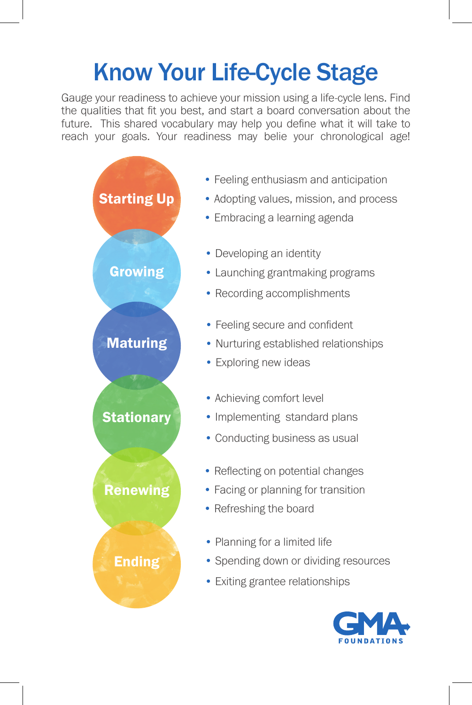## Know Your Life-Cycle Stage

Gauge your readiness to achieve your mission using a life-cycle lens. Find the qualities that fit you best, and start a board conversation about the future. This shared vocabulary may help you define what it will take to reach your goals. Your readiness may belie your chronological age!